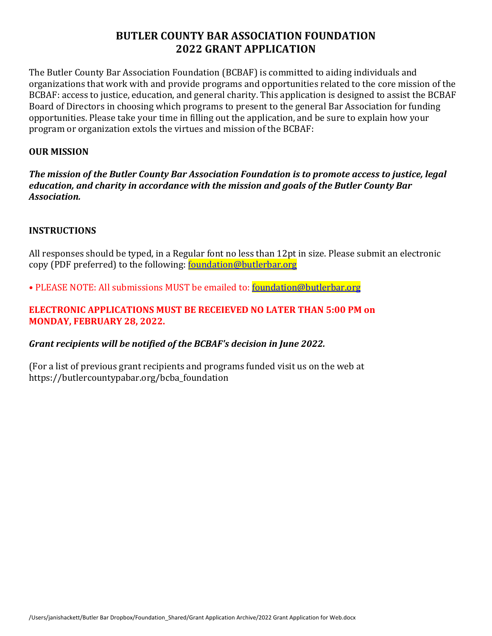The Butler County Bar Association Foundation (BCBAF) is committed to aiding individuals and organizations that work with and provide programs and opportunities related to the core mission of the BCBAF: access to justice, education, and general charity. This application is designed to assist the BCBAF Board of Directors in choosing which programs to present to the general Bar Association for funding opportunities. Please take your time in filling out the application, and be sure to explain how your program or organization extols the virtues and mission of the BCBAF:

#### **OUR MISSION**

The mission of the Butler County Bar Association Foundation is to promote access to justice, legal *education, and charity in accordance with the mission and goals of the Butler County Bar Association.*

#### **INSTRUCTIONS**

All responses should be typed, in a Regular font no less than 12pt in size. Please submit an electronic copy (PDF preferred) to the following: **foundation@butlerbar.org** 

• PLEASE NOTE: All submissions MUST be emailed to: foundation@butlerbar.org

## **ELECTRONIC APPLICATIONS MUST BE RECEIEVED NO LATER THAN 5:00 PM on MONDAY, FEBRUARY 28, 2022.**

## Grant recipients will be notified of the BCBAF's decision in June 2022.

(For a list of previous grant recipients and programs funded visit us on the web at https://butlercountypabar.org/bcba\_foundation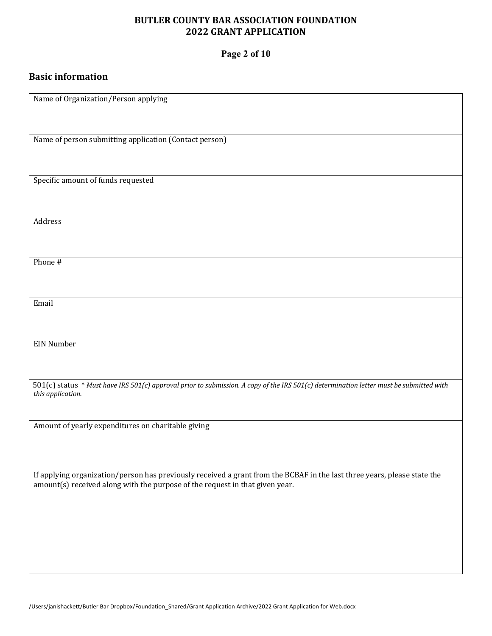## **Page 2 of 10**

## **Basic information**

| Name of Organization/Person applying                                                                                                                         |
|--------------------------------------------------------------------------------------------------------------------------------------------------------------|
|                                                                                                                                                              |
|                                                                                                                                                              |
|                                                                                                                                                              |
| Name of person submitting application (Contact person)                                                                                                       |
|                                                                                                                                                              |
|                                                                                                                                                              |
|                                                                                                                                                              |
| Specific amount of funds requested                                                                                                                           |
|                                                                                                                                                              |
|                                                                                                                                                              |
| Address                                                                                                                                                      |
|                                                                                                                                                              |
|                                                                                                                                                              |
|                                                                                                                                                              |
| Phone #                                                                                                                                                      |
|                                                                                                                                                              |
|                                                                                                                                                              |
|                                                                                                                                                              |
| Email                                                                                                                                                        |
|                                                                                                                                                              |
|                                                                                                                                                              |
|                                                                                                                                                              |
| <b>EIN Number</b>                                                                                                                                            |
|                                                                                                                                                              |
|                                                                                                                                                              |
|                                                                                                                                                              |
| 501(c) status * Must have IRS 501(c) approval prior to submission. A copy of the IRS 501(c) determination letter must be submitted with<br>this application. |
|                                                                                                                                                              |
|                                                                                                                                                              |
|                                                                                                                                                              |
| Amount of yearly expenditures on charitable giving                                                                                                           |
|                                                                                                                                                              |
|                                                                                                                                                              |
|                                                                                                                                                              |
| If applying organization/person has previously received a grant from the BCBAF in the last three years, please state the                                     |
| amount(s) received along with the purpose of the request in that given year.                                                                                 |
|                                                                                                                                                              |
|                                                                                                                                                              |
|                                                                                                                                                              |
|                                                                                                                                                              |
|                                                                                                                                                              |
|                                                                                                                                                              |
|                                                                                                                                                              |
|                                                                                                                                                              |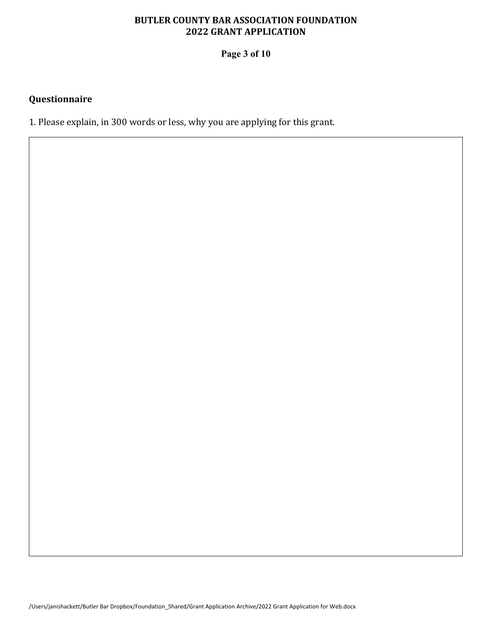**Page 3 of 10**

## **Questionnaire**

1. Please explain, in 300 words or less, why you are applying for this grant.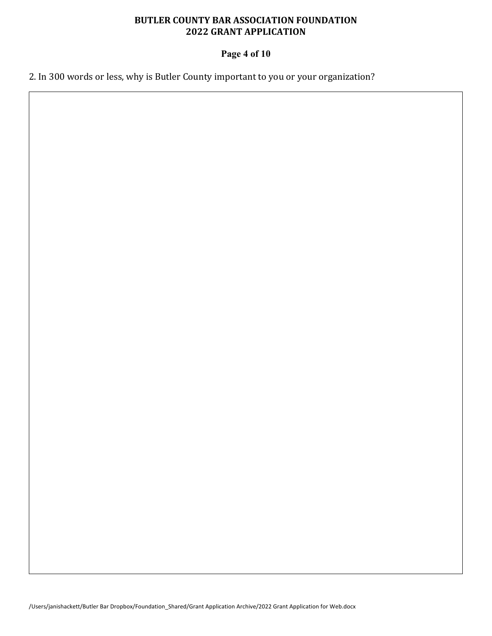## **Page 4 of 10**

2. In 300 words or less, why is Butler County important to you or your organization?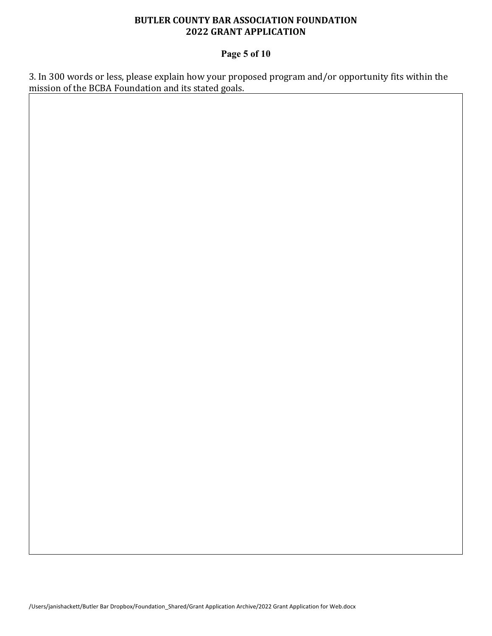## **Page 5 of 10**

3. In 300 words or less, please explain how your proposed program and/or opportunity fits within the mission of the BCBA Foundation and its stated goals.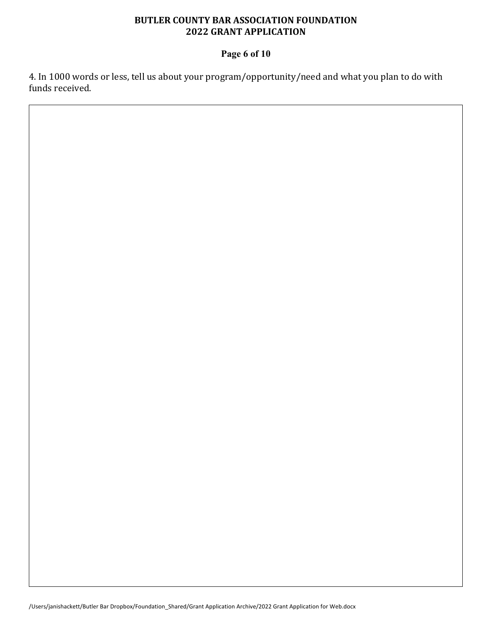## **Page 6 of 10**

4. In 1000 words or less, tell us about your program/opportunity/need and what you plan to do with funds received.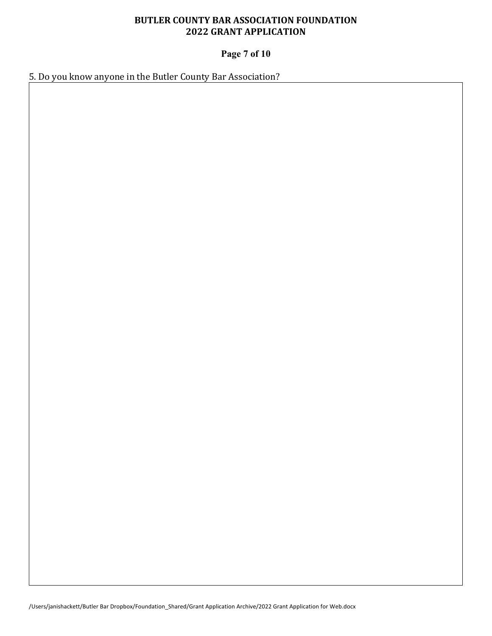# **Page 7 of 10**

5. Do you know anyone in the Butler County Bar Association?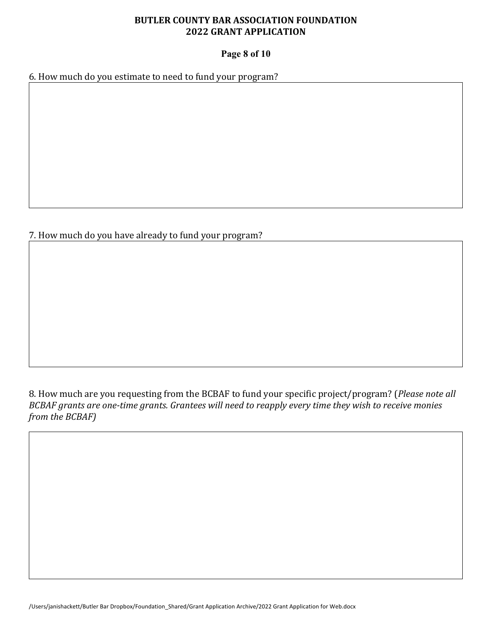## **Page 8 of 10**

6. How much do you estimate to need to fund your program?

7. How much do you have already to fund your program?

8. How much are you requesting from the BCBAF to fund your specific project/program? (Please note all *BCBAF grants are one-time grants. Grantees will need to reapply every time they wish to receive monies from the BCBAF*)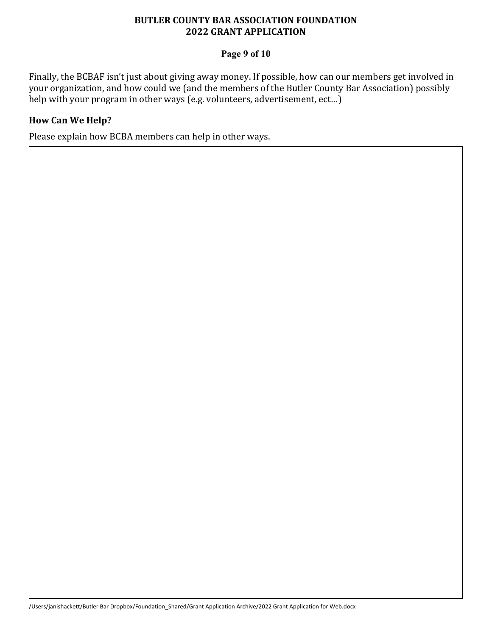## **Page 9 of 10**

Finally, the BCBAF isn't just about giving away money. If possible, how can our members get involved in your organization, and how could we (and the members of the Butler County Bar Association) possibly help with your program in other ways  $(e.g.$  volunteers, advertisement,  $ect...$ )

## **How Can We Help?**

Please explain how BCBA members can help in other ways.